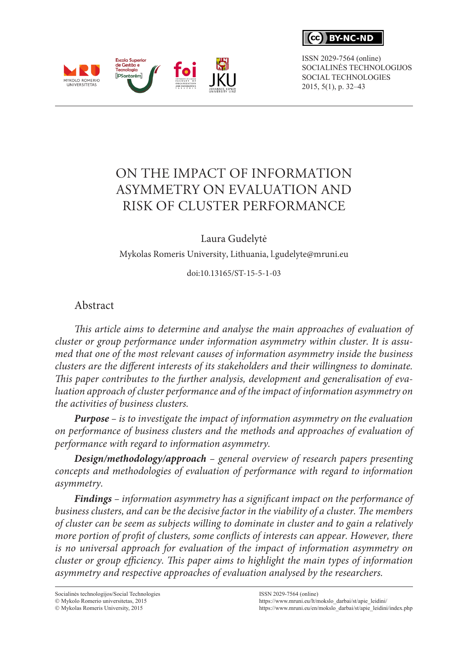CC. **RY-NC-ND** 

ISSN 2029-7564 (online) SOCIALINĖS TECHNOLOGIJOS SOCIAL TECHNOLOGIES 2015, 5(1), p. 32–43



Laura Gudelytė

Mykolas Romeris University, Lithuania, l.gudelyte@mruni.eu

doi:10.13165/ST-15-5-1-03

## Abstract

Escola Superior<br>de Gestão e Tecnologia

MYKOLO ROMERIO<br>UNIVERSITETAS

*This article aims to determine and analyse the main approaches of evaluation of cluster or group performance under information asymmetry within cluster. It is assumed that one of the most relevant causes of information asymmetry inside the business clusters are the different interests of its stakeholders and their willingness to dominate. This paper contributes to the further analysis, development and generalisation of evaluation approach of cluster performance and of the impact of information asymmetry on the activities of business clusters.*

*Purpose – is to investigate the impact of information asymmetry on the evaluation on performance of business clusters and the methods and approaches of evaluation of performance with regard to information asymmetry.*

*Design/methodology/approach – general overview of research papers presenting concepts and methodologies of evaluation of performance with regard to information asymmetry.*

*Findings – information asymmetry has a significant impact on the performance of business clusters, and can be the decisive factor in the viability of a cluster. The members of cluster can be seem as subjects willing to dominate in cluster and to gain a relatively more portion of profit of clusters, some conflicts of interests can appear. However, there is no universal approach for evaluation of the impact of information asymmetry on cluster or group efficiency. This paper aims to highlight the main types of information asymmetry and respective approaches of evaluation analysed by the researchers.*

Socialinės technologijos/Social Technologies Mykolo Romerio universitetas, 2015  $@$  Mykolas Romeris University, 2015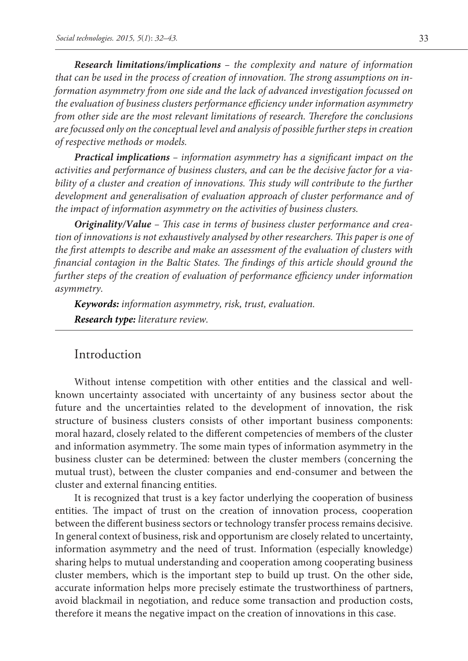*Research limitations/implications – the complexity and nature of information that can be used in the process of creation of innovation. The strong assumptions on information asymmetry from one side and the lack of advanced investigation focussed on the evaluation of business clusters performance efficiency under information asymmetry from other side are the most relevant limitations of research. Therefore the conclusions are focussed only on the conceptual level and analysis of possible further steps in creation of respective methods or models.*

*Practical implications – information asymmetry has a significant impact on the activities and performance of business clusters, and can be the decisive factor for a via*bility of a cluster and creation of innovations. This study will contribute to the further *development and generalisation of evaluation approach of cluster performance and of the impact of information asymmetry on the activities of business clusters.*

*Originality/Value – This case in terms of business cluster performance and creation of innovations is not exhaustively analysed by other researchers. This paper is one of the first attempts to describe and make an assessment of the evaluation of clusters with financial contagion in the Baltic States. The findings of this article should ground the further steps of the creation of evaluation of performance efficiency under information asymmetry.*

*Keywords: information asymmetry, risk, trust, evaluation.*

*Research type: literature review.*

### Introduction

Without intense competition with other entities and the classical and wellknown uncertainty associated with uncertainty of any business sector about the future and the uncertainties related to the development of innovation, the risk structure of business clusters consists of other important business components: moral hazard, closely related to the different competencies of members of the cluster and information asymmetry. The some main types of information asymmetry in the business cluster can be determined: between the cluster members (concerning the mutual trust), between the cluster companies and end-consumer and between the cluster and external financing entities.

It is recognized that trust is a key factor underlying the cooperation of business entities. The impact of trust on the creation of innovation process, cooperation between the different business sectors or technology transfer process remains decisive. In general context of business, risk and opportunism are closely related to uncertainty, information asymmetry and the need of trust. Information (especially knowledge) sharing helps to mutual understanding and cooperation among cooperating business cluster members, which is the important step to build up trust. On the other side, accurate information helps more precisely estimate the trustworthiness of partners, avoid blackmail in negotiation, and reduce some transaction and production costs, therefore it means the negative impact on the creation of innovations in this case.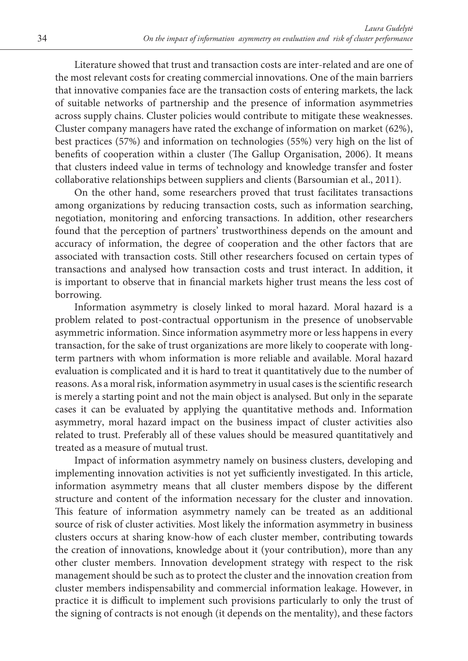Literature showed that trust and transaction costs are inter-related and are one of the most relevant costs for creating commercial innovations. One of the main barriers that innovative companies face are the transaction costs of entering markets, the lack of suitable networks of partnership and the presence of information asymmetries across supply chains. Cluster policies would contribute to mitigate these weaknesses. Cluster company managers have rated the exchange of information on market (62%), best practices (57%) and information on technologies (55%) very high on the list of benefits of cooperation within a cluster (The Gallup Organisation, 2006). It means that clusters indeed value in terms of technology and knowledge transfer and foster collaborative relationships between suppliers and clients (Barsoumian et al., 2011).

On the other hand, some researchers proved that trust facilitates transactions among organizations by reducing transaction costs, such as information searching, negotiation, monitoring and enforcing transactions. In addition, other researchers found that the perception of partners' trustworthiness depends on the amount and accuracy of information, the degree of cooperation and the other factors that are associated with transaction costs. Still other researchers focused on certain types of transactions and analysed how transaction costs and trust interact. In addition, it is important to observe that in financial markets higher trust means the less cost of borrowing.

Information asymmetry is closely linked to moral hazard. Moral hazard is a problem related to post-contractual opportunism in the presence of unobservable asymmetric information. Since information asymmetry more or less happens in every transaction, for the sake of trust organizations are more likely to cooperate with longterm partners with whom information is more reliable and available. Moral hazard evaluation is complicated and it is hard to treat it quantitatively due to the number of reasons. As a moral risk, information asymmetry in usual cases is the scientific research is merely a starting point and not the main object is analysed. But only in the separate cases it can be evaluated by applying the quantitative methods and. Information asymmetry, moral hazard impact on the business impact of cluster activities also related to trust. Preferably all of these values should be measured quantitatively and treated as a measure of mutual trust.

Impact of information asymmetry namely on business clusters, developing and implementing innovation activities is not yet sufficiently investigated. In this article, information asymmetry means that all cluster members dispose by the different structure and content of the information necessary for the cluster and innovation. This feature of information asymmetry namely can be treated as an additional source of risk of cluster activities. Most likely the information asymmetry in business clusters occurs at sharing know-how of each cluster member, contributing towards the creation of innovations, knowledge about it (your contribution), more than any other cluster members. Innovation development strategy with respect to the risk management should be such as to protect the cluster and the innovation creation from cluster members indispensability and commercial information leakage. However, in practice it is difficult to implement such provisions particularly to only the trust of the signing of contracts is not enough (it depends on the mentality), and these factors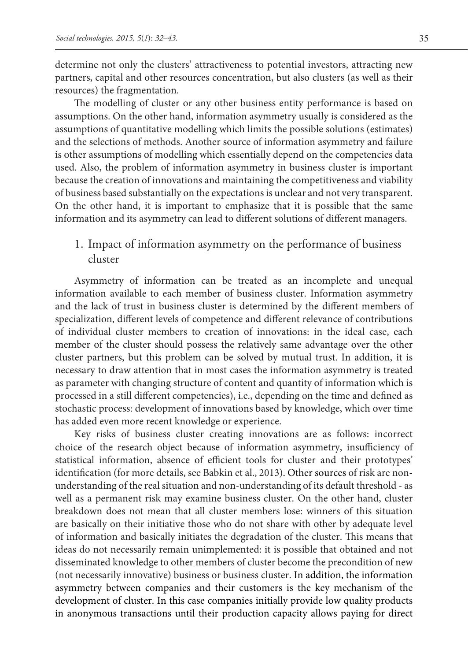determine not only the clusters' attractiveness to potential investors, attracting new partners, capital and other resources concentration, but also clusters (as well as their resources) the fragmentation.

The modelling of cluster or any other business entity performance is based on assumptions. On the other hand, information asymmetry usually is considered as the assumptions of quantitative modelling which limits the possible solutions (estimates) and the selections of methods. Another source of information asymmetry and failure is other assumptions of modelling which essentially depend on the competencies data used. Also, the problem of information asymmetry in business cluster is important because the creation of innovations and maintaining the competitiveness and viability of business based substantially on the expectations is unclear and not very transparent. On the other hand, it is important to emphasize that it is possible that the same information and its asymmetry can lead to different solutions of different managers.

1. Impact of information asymmetry on the performance of business cluster

Asymmetry of information can be treated as an incomplete and unequal information available to each member of business cluster. Information asymmetry and the lack of trust in business cluster is determined by the different members of specialization, different levels of competence and different relevance of contributions of individual cluster members to creation of innovations: in the ideal case, each member of the cluster should possess the relatively same advantage over the other cluster partners, but this problem can be solved by mutual trust. In addition, it is necessary to draw attention that in most cases the information asymmetry is treated as parameter with changing structure of content and quantity of information which is processed in a still different competencies), i.e., depending on the time and defined as stochastic process: development of innovations based by knowledge, which over time has added even more recent knowledge or experience.

Key risks of business cluster creating innovations are as follows: incorrect choice of the research object because of information asymmetry, insufficiency of statistical information, absence of efficient tools for cluster and their prototypes' identification (for more details, see Babkin et al., 2013). Other sources of risk are nonunderstanding of the real situation and non-understanding of its default threshold - as well as a permanent risk may examine business cluster. On the other hand, cluster breakdown does not mean that all cluster members lose: winners of this situation are basically on their initiative those who do not share with other by adequate level of information and basically initiates the degradation of the cluster. This means that ideas do not necessarily remain unimplemented: it is possible that obtained and not disseminated knowledge to other members of cluster become the precondition of new (not necessarily innovative) business or business cluster. In addition, the information asymmetry between companies and their customers is the key mechanism of the development of cluster. In this case companies initially provide low quality products in anonymous transactions until their production capacity allows paying for direct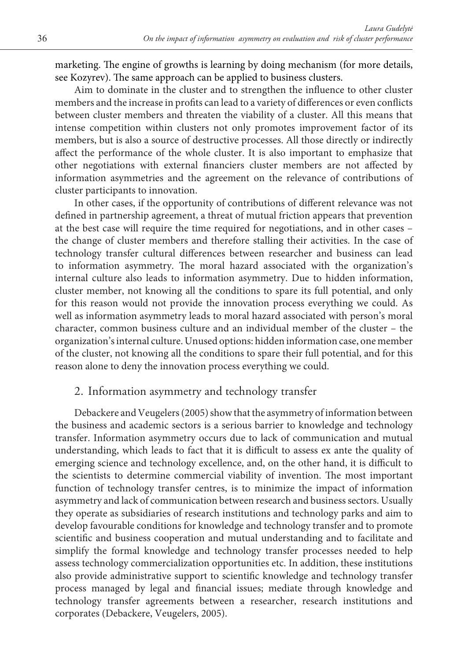marketing. The engine of growths is learning by doing mechanism (for more details, see Kozyrev). The same approach can be applied to business clusters.

Aim to dominate in the cluster and to strengthen the influence to other cluster members and the increase in profits can lead to a variety of differences or even conflicts between cluster members and threaten the viability of a cluster. All this means that intense competition within clusters not only promotes improvement factor of its members, but is also a source of destructive processes. All those directly or indirectly affect the performance of the whole cluster. It is also important to emphasize that other negotiations with external financiers cluster members are not affected by information asymmetries and the agreement on the relevance of contributions of cluster participants to innovation.

In other cases, if the opportunity of contributions of different relevance was not defined in partnership agreement, a threat of mutual friction appears that prevention at the best case will require the time required for negotiations, and in other cases – the change of cluster members and therefore stalling their activities. In the case of technology transfer cultural differences between researcher and business can lead to information asymmetry. The moral hazard associated with the organization's internal culture also leads to information asymmetry. Due to hidden information, cluster member, not knowing all the conditions to spare its full potential, and only for this reason would not provide the innovation process everything we could. As well as information asymmetry leads to moral hazard associated with person's moral character, common business culture and an individual member of the cluster – the organization's internal culture. Unused options: hidden information case, one member of the cluster, not knowing all the conditions to spare their full potential, and for this reason alone to deny the innovation process everything we could.

## 2. Information asymmetry and technology transfer

Debackere and Veugelers (2005) show that the asymmetry of information between the business and academic sectors is a serious barrier to knowledge and technology transfer. Information asymmetry occurs due to lack of communication and mutual understanding, which leads to fact that it is difficult to assess ex ante the quality of emerging science and technology excellence, and, on the other hand, it is difficult to the scientists to determine commercial viability of invention. The most important function of technology transfer centres, is to minimize the impact of information asymmetry and lack of communication between research and business sectors. Usually they operate as subsidiaries of research institutions and technology parks and aim to develop favourable conditions for knowledge and technology transfer and to promote scientific and business cooperation and mutual understanding and to facilitate and simplify the formal knowledge and technology transfer processes needed to help assess technology commercialization opportunities etc. In addition, these institutions also provide administrative support to scientific knowledge and technology transfer process managed by legal and financial issues; mediate through knowledge and technology transfer agreements between a researcher, research institutions and corporates (Debackere, Veugelers, 2005).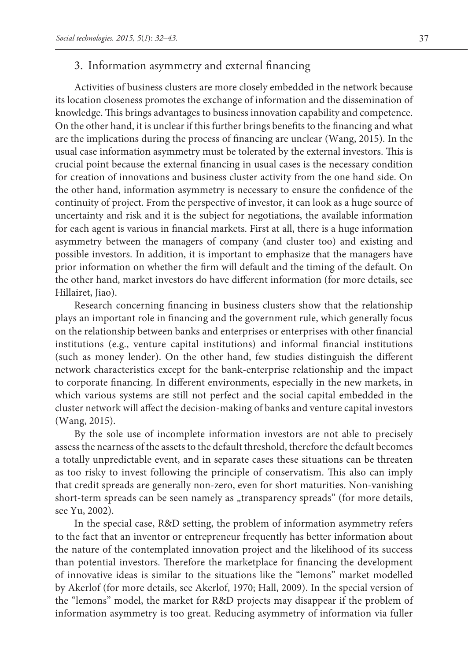# 3. Information asymmetry and external financing

Activities of business clusters are more closely embedded in the network because its location closeness promotes the exchange of information and the dissemination of knowledge. This brings advantages to business innovation capability and competence. On the other hand, it is unclear if this further brings benefits to the financing and what are the implications during the process of financing are unclear (Wang, 2015). In the usual case information asymmetry must be tolerated by the external investors. This is crucial point because the external financing in usual cases is the necessary condition for creation of innovations and business cluster activity from the one hand side. On the other hand, information asymmetry is necessary to ensure the confidence of the continuity of project. From the perspective of investor, it can look as a huge source of uncertainty and risk and it is the subject for negotiations, the available information for each agent is various in financial markets. First at all, there is a huge information asymmetry between the managers of company (and cluster too) and existing and possible investors. In addition, it is important to emphasize that the managers have prior information on whether the firm will default and the timing of the default. On the other hand, market investors do have different information (for more details, see Hillairet, Jiao).

Research concerning financing in business clusters show that the relationship plays an important role in financing and the government rule, which generally focus on the relationship between banks and enterprises or enterprises with other financial institutions (e.g., venture capital institutions) and informal financial institutions (such as money lender). On the other hand, few studies distinguish the different network characteristics except for the bank-enterprise relationship and the impact to corporate financing. In different environments, especially in the new markets, in which various systems are still not perfect and the social capital embedded in the cluster network will affect the decision-making of banks and venture capital investors (Wang, 2015).

By the sole use of incomplete information investors are not able to precisely assess the nearness of the assets to the default threshold, therefore the default becomes a totally unpredictable event, and in separate cases these situations can be threaten as too risky to invest following the principle of conservatism. This also can imply that credit spreads are generally non-zero, even for short maturities. Non-vanishing short-term spreads can be seen namely as "transparency spreads" (for more details, see Yu, 2002).

In the special case, R&D setting, the problem of information asymmetry refers to the fact that an inventor or entrepreneur frequently has better information about the nature of the contemplated innovation project and the likelihood of its success than potential investors. Therefore the marketplace for financing the development of innovative ideas is similar to the situations like the "lemons" market modelled by Akerlof (for more details, see Akerlof, 1970; Hall, 2009). In the special version of the "lemons" model, the market for R&D projects may disappear if the problem of information asymmetry is too great. Reducing asymmetry of information via fuller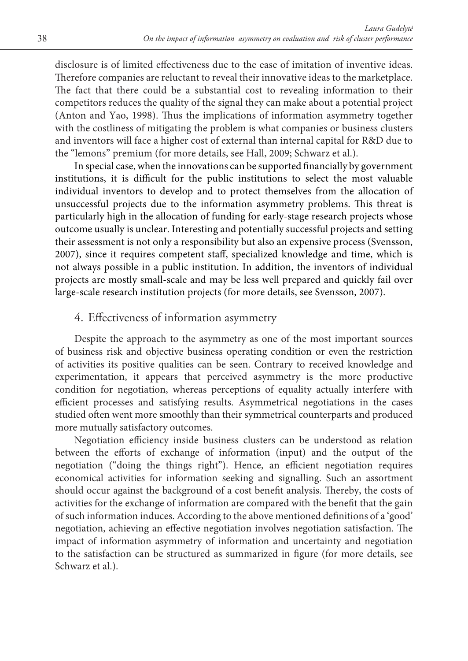disclosure is of limited effectiveness due to the ease of imitation of inventive ideas. Therefore companies are reluctant to reveal their innovative ideas to the marketplace. The fact that there could be a substantial cost to revealing information to their competitors reduces the quality of the signal they can make about a potential project (Anton and Yao, 1998). Thus the implications of information asymmetry together with the costliness of mitigating the problem is what companies or business clusters and inventors will face a higher cost of external than internal capital for R&D due to the "lemons" premium (for more details, see Hall, 2009; Schwarz et al.).

In special case, when the innovations can be supported financially by government institutions, it is difficult for the public institutions to select the most valuable individual inventors to develop and to protect themselves from the allocation of unsuccessful projects due to the information asymmetry problems. This threat is particularly high in the allocation of funding for early-stage research projects whose outcome usually is unclear. Interesting and potentially successful projects and setting their assessment is not only a responsibility but also an expensive process (Svensson, 2007), since it requires competent staff, specialized knowledge and time, which is not always possible in a public institution. In addition, the inventors of individual projects are mostly small-scale and may be less well prepared and quickly fail over large-scale research institution projects (for more details, see Svensson, 2007).

## 4. Effectiveness of information asymmetry

Despite the approach to the asymmetry as one of the most important sources of business risk and objective business operating condition or even the restriction of activities its positive qualities can be seen. Contrary to received knowledge and experimentation, it appears that perceived asymmetry is the more productive condition for negotiation, whereas perceptions of equality actually interfere with efficient processes and satisfying results. Asymmetrical negotiations in the cases studied often went more smoothly than their symmetrical counterparts and produced more mutually satisfactory outcomes.

Negotiation efficiency inside business clusters can be understood as relation between the efforts of exchange of information (input) and the output of the negotiation ("doing the things right"). Hence, an efficient negotiation requires economical activities for information seeking and signalling. Such an assortment should occur against the background of a cost benefit analysis. Thereby, the costs of activities for the exchange of information are compared with the benefit that the gain of such information induces. According to the above mentioned definitions of a 'good' negotiation, achieving an effective negotiation involves negotiation satisfaction. The impact of information asymmetry of information and uncertainty and negotiation to the satisfaction can be structured as summarized in figure (for more details, see Schwarz et al.).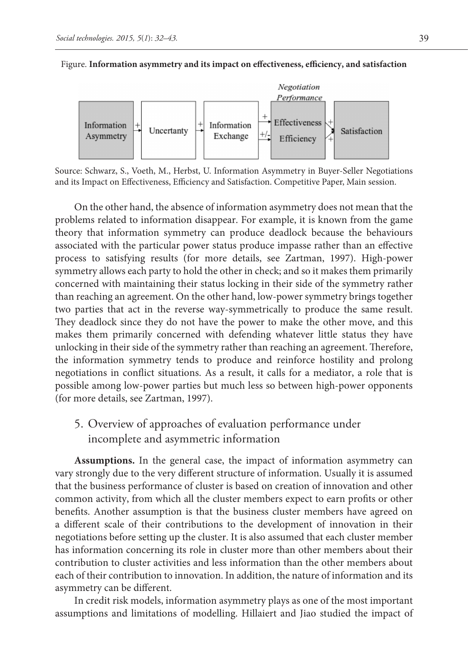Figure. **Information asymmetry and its impact on effectiveness, efficiency, and satisfaction**



Source: Schwarz, S., Voeth, M., Herbst, U. Information Asymmetry in Buyer-Seller Negotiations and its Impact on Effectiveness, Efficiency and Satisfaction. Competitive Paper, Main session.

On the other hand, the absence of information asymmetry does not mean that the problems related to information disappear. For example, it is known from the game theory that information symmetry can produce deadlock because the behaviours associated with the particular power status produce impasse rather than an effective process to satisfying results (for more details, see Zartman, 1997). High-power symmetry allows each party to hold the other in check; and so it makes them primarily concerned with maintaining their status locking in their side of the symmetry rather than reaching an agreement. On the other hand, low-power symmetry brings together two parties that act in the reverse way-symmetrically to produce the same result. They deadlock since they do not have the power to make the other move, and this makes them primarily concerned with defending whatever little status they have unlocking in their side of the symmetry rather than reaching an agreement. Therefore, the information symmetry tends to produce and reinforce hostility and prolong negotiations in conflict situations. As a result, it calls for a mediator, a role that is possible among low-power parties but much less so between high-power opponents (for more details, see Zartman, 1997).

5. Overview of approaches of evaluation performance under incomplete and asymmetric information

**Assumptions.** In the general case, the impact of information asymmetry can vary strongly due to the very different structure of information. Usually it is assumed that the business performance of cluster is based on creation of innovation and other common activity, from which all the cluster members expect to earn profits or other benefits. Another assumption is that the business cluster members have agreed on a different scale of their contributions to the development of innovation in their negotiations before setting up the cluster. It is also assumed that each cluster member has information concerning its role in cluster more than other members about their contribution to cluster activities and less information than the other members about each of their contribution to innovation. In addition, the nature of information and its asymmetry can be different.

In credit risk models, information asymmetry plays as one of the most important assumptions and limitations of modelling. Hillaiert and Jiao studied the impact of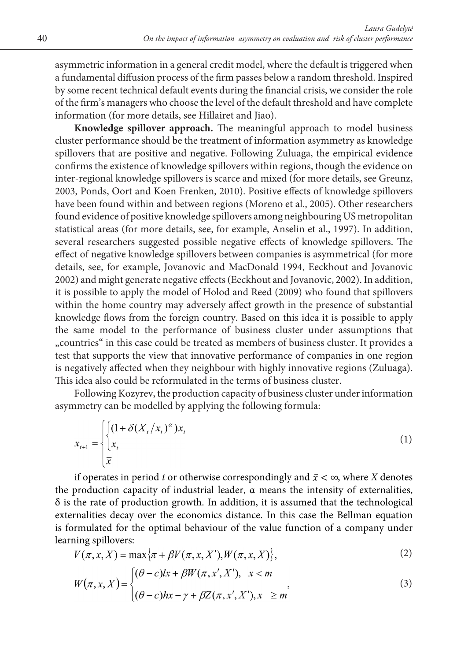asymmetric information in a general credit model, where the default is triggered when a fundamental diffusion process of the firm passes below a random threshold. Inspired by some recent technical default events during the financial crisis, we consider the role of the firm's managers who choose the level of the default threshold and have complete information (for more details, see Hillairet and Jiao).

**Knowledge spillover approach.** The meaningful approach to model business cluster performance should be the treatment of information asymmetry as knowledge spillovers that are positive and negative. Following Zuluaga, the empirical evidence confirms the existence of knowledge spillovers within regions, though the evidence on inter-regional knowledge spillovers is scarce and mixed (for more details, see Greunz, 2003, Ponds, Oort and Koen Frenken, 2010). Positive effects of knowledge spillovers have been found within and between regions (Moreno et al., 2005). Other researchers found evidence of positive knowledge spillovers among neighbouring US metropolitan statistical areas (for more details, see, for example, Anselin et al., 1997). In addition, several researchers suggested possible negative effects of knowledge spillovers. The effect of negative knowledge spillovers between companies is asymmetrical (for more details, see, for example, Jovanovic and MacDonald 1994, Eeckhout and Jovanovic 2002) and might generate negative effects (Eeckhout and Jovanovic, 2002). In addition, it is possible to apply the model of Holod and Reed (2009) who found that spillovers within the home country may adversely affect growth in the presence of substantial knowledge flows from the foreign country. Based on this idea it is possible to apply the same model to the performance of business cluster under assumptions that "countries" in this case could be treated as members of business cluster. It provides a test that supports the view that innovative performance of companies in one region is negatively affected when they neighbour with highly innovative regions (Zuluaga). This idea also could be reformulated in the terms of business cluster.

Following Kozyrev, the production capacity of business cluster under information asymmetry can be modelled by applying the following formula:

$$
x_{t+1} = \begin{cases} \left(1 + \delta(X_t/x_t)^{\alpha}\right)x_t\\ x_t \end{cases}
$$
 (1)

if operates in period *t* or otherwise correspondingly and  $\bar{x} < \infty$ , where *X* denotes the production capacity of industrial leader,  $\alpha$  means the intensity of externalities,  $\delta$  is the rate of production growth. In addition, it is assumed that the technological externalities decay over the economics distance. In this case the Bellman equation is formulated for the optimal behaviour of the value function of a company under learning spillovers:

$$
V(\pi, x, X) = \max{\pi + \beta V(\pi, x, X'), W(\pi, x, X)},
$$
\n(2)

$$
W(\pi, x, X) = \begin{cases} (\theta - c)lx + \beta W(\pi, x', X'), & x < m \\ (\theta - c)hx - \gamma + \beta Z(\pi, x', X'), & x \ge m \end{cases}
$$
\n(3)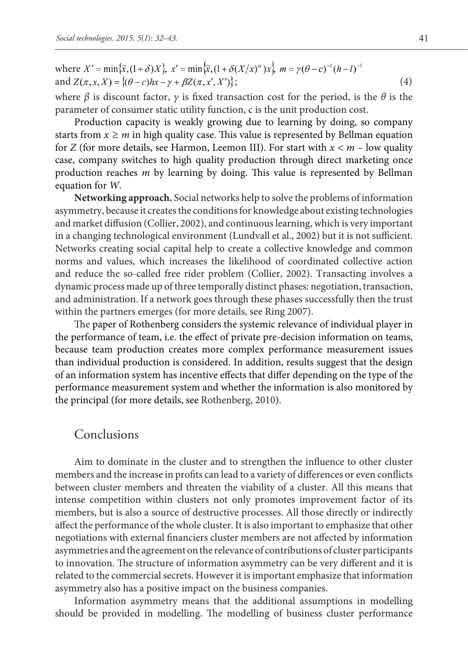where 
$$
X' = \min{\{\overline{x}, (1+\delta)X\}}, x' = \min{\{\overline{x}, (1+\delta(X/x)^\alpha)X\}}, m = \gamma(\theta - c)^{-1}(h - l)^{-1}
$$
  
and  $Z(\pi, x, X) = \{(\theta - c)hx - \gamma + \beta Z(\pi, x', X')\};$  (4)

where  $\beta$  is discount factor,  $\gamma$  is fixed transaction cost for the period, is the  $\theta$  is the parameter of consumer static utility function, c is the unit production cost.

Production capacity is weakly growing due to learning by doing, so company starts from  $x \ge m$  in high quality case. This value is represented by Bellman equation for *Z* (for more details, see Harmon, Leemon III). For start with *x < m* – low quality case, company switches to high quality production through direct marketing once production reaches *m* by learning by doing. This value is represented by Bellman equation for *W*.

**Networking approach.** Social networks help to solve the problems of information asymmetry, because it creates the conditions for knowledge about existing technologies and market diffusion (Collier, 2002), and continuous learning, which is very important in a changing technological environment (Lundvall et al., 2002) but it is not sufficient. Networks creating social capital help to create a collective knowledge and common norms and values, which increases the likelihood of coordinated collective action and reduce the so-called free rider problem (Collier, 2002). Transacting involves a dynamic process made up of three temporally distinct phases: negotiation, transaction, and administration. If a network goes through these phases successfully then the trust within the partners emerges (for more details, see Ring 2007).

The paper of Rothenberg considers the systemic relevance of individual player in the performance of team, i.e. the effect of private pre-decision information on teams, because team production creates more complex performance measurement issues than individual production is considered. In addition, results suggest that the design of an information system has incentive effects that differ depending on the type of the performance measurement system and whether the information is also monitored by the principal (for more details, see Rothenberg, 2010).

### Conclusions

Aim to dominate in the cluster and to strengthen the influence to other cluster members and the increase in profits can lead to a variety of differences or even conflicts between cluster members and threaten the viability of a cluster. All this means that intense competition within clusters not only promotes improvement factor of its members, but is also a source of destructive processes. All those directly or indirectly affect the performance of the whole cluster. It is also important to emphasize that other negotiations with external financiers cluster members are not affected by information asymmetries and the agreement on the relevance of contributions of cluster participants to innovation. The structure of information asymmetry can be very different and it is related to the commercial secrets. However it is important emphasize that information asymmetry also has a positive impact on the business companies.

Information asymmetry means that the additional assumptions in modelling should be provided in modelling. The modelling of business cluster performance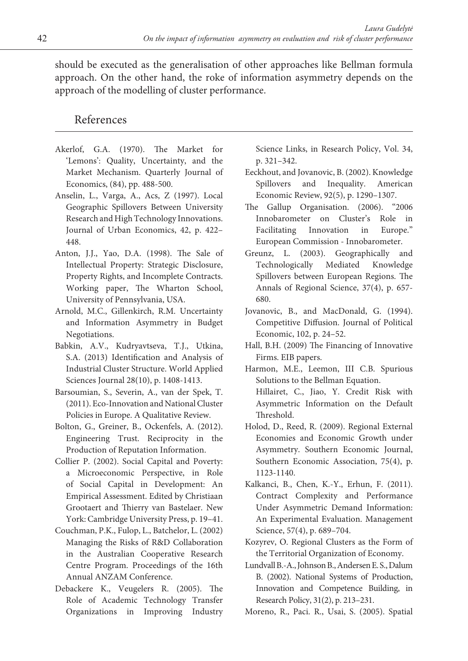should be executed as the generalisation of other approaches like Bellman formula approach. On the other hand, the roke of information asymmetry depends on the approach of the modelling of cluster performance.

## References

- Akerlof, G.A. (1970). The Market for 'Lemons': Quality, Uncertainty, and the Market Mechanism. Quarterly Journal of Economics, (84), pp. 488-500.
- Anselin, L., Varga, A., Acs, Z (1997). Local Geographic Spillovers Between University Research and High Technology Innovations. Journal of Urban Economics, 42, p. 422– 448.
- Anton, J.J., Yao, D.A. (1998). The Sale of Intellectual Property: Strategic Disclosure, Property Rights, and Incomplete Contracts. Working paper, The Wharton School, University of Pennsylvania, USA.
- Arnold, M.C., Gillenkirch, R.M. Uncertainty and Information Asymmetry in Budget Negotiations.
- Babkin, A.V., Kudryavtseva, T.J., Utkina, S.A. (2013) Identification and Analysis of Industrial Cluster Structure. World Applied Sciences Journal 28(10), p. 1408-1413.
- Barsoumian, S., Severin, A., van der Spek, T. (2011). Eco‐Innovation and National Cluster Policies in Europe. A Qualitative Review.
- Bolton, G., Greiner, B., Ockenfels, A. (2012). Engineering Trust. Reciprocity in the Production of Reputation Information.
- Collier P. (2002). Social Capital and Poverty: a Microeconomic Perspective, in Role of Social Capital in Development: An Empirical Assessment. Edited by Christiaan Grootaert and Thierry van Bastelaer. New York: Cambridge University Press, p. 19–41.
- Couchman, P.K., Fulop, L., Batchelor, L. (2002) Managing the Risks of R&D Collaboration in the Australian Cooperative Research Centre Program. Proceedings of the 16th Annual ANZAM Conference.
- Debackere K., Veugelers R. (2005). The Role of Academic Technology Transfer Organizations in Improving Industry

Science Links, in Research Policy, Vol. 34, p. 321–342.

- Eeckhout, and Jovanovic, B. (2002). Knowledge Spillovers and Inequality. American Economic Review, 92(5), p. 1290–1307.
- The Gallup Organisation. (2006). "2006 Innobarometer on Cluster's Role in Facilitating Innovation in Europe." European Commission ‐ Innobarometer.
- Greunz, L. (2003). Geographically and Technologically Mediated Knowledge Spillovers between European Regions. The Annals of Regional Science, 37(4), p. 657- 680.
- Jovanovic, B., and MacDonald, G. (1994). Competitive Diffusion. Journal of Political Economic, 102, p. 24–52.
- Hall, B.H. (2009) The Financing of Innovative Firms. EIB papers.
- Harmon, M.E., Leemon, III C.B. Spurious Solutions to the Bellman Equation. Hillairet, C., Jiao, Y. Credit Risk with Asymmetric Information on the Default Threshold.
- Holod, D., Reed, R. (2009). Regional External Economies and Economic Growth under Asymmetry. Southern Economic Journal, Southern Economic Association, 75(4), p. 1123-1140.
- Kalkanci, B., Chen, K.-Y., Erhun, F. (2011). Contract Complexity and Performance Under Asymmetric Demand Information: An Experimental Evaluation. Management Science, 57(4), p. 689–704.
- Kozyrev, O. Regional Clusters as the Form of the Territorial Organization of Economy.
- Lundvall B.-A., Johnson B., Andersen E. S., Dalum B. (2002). National Systems of Production, Innovation and Competence Building, in Research Policy, 31(2), p. 213–231.
- Moreno, R., Paci. R., Usai, S. (2005). Spatial